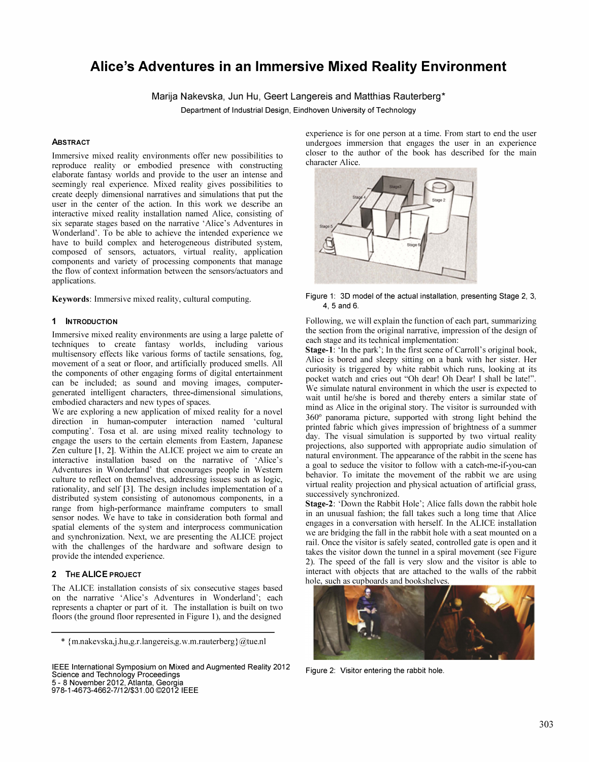# Alice's Adventures in an Immersive Mixed Reality Environment

Marija Nakevska, Jun Hu, Geert Langereis and Matthias Rauterberg\*

Department of Industrial Design, Eindhoven University of Technology

### **ABSTRACT**

Immersive mixed reality environments offer new possibilities to reproduce reality or embodied presence with constructing elaborate fantasy worlds and provide to the user an intense and seemingly real experience. Mixed reality gives possibilities to create deeply dimensional narratives and simulations that put the user in the center of the action. In this work we describe an interactive mixed reality installation named Alice, consisting of six separate stages based on the narrative 'Alice's Adventures in Wonderland'. To be able to achieve the intended experience we have to build complex and heterogeneous distributed system, composed of sensors, actuators, virtual reality, application components and variety of processing components that manage the flow of context information between the sensors/actuators and applications.

Keywords: Immersive mixed reality, cultural computing.

#### 1 INTRODUCTION

Imme rsive mixed reality environments are using a large palette of . techniques to create fantasy worlds, including various multisensory effects like various forms of tactile sensations, fog, movement of a seat or floor, and artificially produced smells. All the components of other engaging forms of digital entertainment can be included; as sound and moving images, computergenerated intelligent characters, three-dimensional simulations, embodied characters and new types of spaces.

We are exploring a new application of mixed reality for a novel direction in human-computer interaction named 'cultural computing'. Tosa et al. are using mixed reality technology to engage the users to the certain elements from Eastern, Japanese Zen culture [1, 2]. Within the ALICE project we aim to create an interactive installation based on the narrative of 'Alice's Adventures in Wonderland' that encourages people in Western culture to reflect on themselves, addressing issues such as logic, equality, and self [3]. The design includes implementation of a distributed system consisting of autonomous components, in a range from high-performance mainframe computers to small sensor nodes. We have to take in consideration both formal and spatial elements of the system and interprocess communication and synchronization. Next, we are presenting the ALICE project with the challenges of the hardware and software design to provide the intended experience.

# 2 THE ALICE PROJECT

The ALICE installation consists of six consecutive stages based on the narrative 'Alice's Adventures in Wonderland'; each represents a chapter or part of it. The installation is built on two floors (the ground floor represented in Figure 1), and the designed

IEEE International Symposium on Mixed and Augmented Reality 2012 SCience and Technology Proceedings 5 - 8 November 2012, Atlanta, Georgia

978-1-4673-4662-7/12/\$31.00 ©2012 IEEE

experience is for one person at a time. From start to end the user undergoes immersion that engages the user in an experience closer to the author of the book has described for the main character Alice.



Figure 1: 3D model of the actual installation, presenting Stage 2, 3, 4, 5 and 6.

Following, we will explain the function of each part, summarizing the section from the original narrative, impression of the design of each stage and its technical implementation:

Stage-1: 'In the park'; In the first scene of Carroll's original book, Alice is bored and sleepy sitting on a bank with her sister. Her curiosity is triggered by white rabbit which runs, looking at its pocket watch and cries out "Oh dear! Oh Dear! I shall be late!". We simulate natural environment in which the user is expected to wait until he/she is bored and thereby enters a similar state of mind as Alice in the original story. The visitor is surrounded with 360° panorama picture, supported with strong light behind the printed fabric which gives impression of brightness of a summer day. The visual simulation is supported by two virtual reality projections, also supported with appropriate audio simulation of natural environment. The appearance of the rabbit in the scene has a goal to seduce the visitor to follow with a catch-me-if-you-can behavior. To imitate the movement of the rabbit we are using virtual reality projection and physical actuation of artificial grass, successively synchronized.

Stage-2: 'Down the Rabbit Hole'; Alice falls down the rabbit hole in an unusual fashion; the fall takes such a long time that Alice engages in a conversation with herself. In the ALICE installation we are bridging the fall in the rabbit hole with a seat mounted on a rail. Once the visitor is safely seated, controlled gate is open and it takes the visitor down the tunnel in a spiral movement (see Figure 2). The speed of the fall is very slow and the visitor is able to interact with objects that are attached to the walls of the rabbit hole, such as cupboards and bookshelves



Figure 2: Visitor entering the rabbit hole.

<sup>\*</sup> {m.nakevska,j.hu,g.r.langereis,g. w.m.rauterberg}@tue.nl